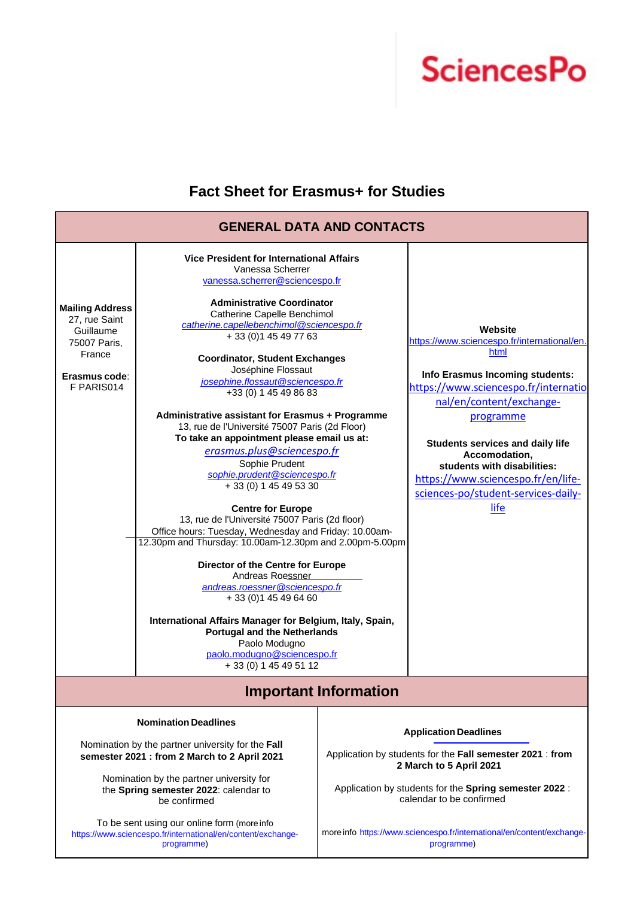

## **Fact Sheet for Erasmus+ for Studies**

| <b>GENERAL DATA AND CONTACTS</b>                                                                                                                                                                                                      |                                                                                                                                                                                                                                                                                                                                                                                                                                                                                                                                                                                                                                                                                                                                                                                                                                                                                                                                                                                                                                                                                                                                               |                                                                                                                                                                                                           |                                                                                                                                                                                                                                                                                                                                                                    |  |  |
|---------------------------------------------------------------------------------------------------------------------------------------------------------------------------------------------------------------------------------------|-----------------------------------------------------------------------------------------------------------------------------------------------------------------------------------------------------------------------------------------------------------------------------------------------------------------------------------------------------------------------------------------------------------------------------------------------------------------------------------------------------------------------------------------------------------------------------------------------------------------------------------------------------------------------------------------------------------------------------------------------------------------------------------------------------------------------------------------------------------------------------------------------------------------------------------------------------------------------------------------------------------------------------------------------------------------------------------------------------------------------------------------------|-----------------------------------------------------------------------------------------------------------------------------------------------------------------------------------------------------------|--------------------------------------------------------------------------------------------------------------------------------------------------------------------------------------------------------------------------------------------------------------------------------------------------------------------------------------------------------------------|--|--|
| <b>Mailing Address</b><br>27. rue Saint<br>Guillaume<br>75007 Paris,<br>France<br>Erasmus code:<br>F PARIS014                                                                                                                         | <b>Vice President for International Affairs</b><br>Vanessa Scherrer<br>vanessa.scherrer@sciencespo.fr<br><b>Administrative Coordinator</b><br>Catherine Capelle Benchimol<br>catherine.capellebenchimol@sciencespo.fr<br>+ 33 (0) 1 45 49 77 63<br><b>Coordinator, Student Exchanges</b><br>Joséphine Flossaut<br>josephine.flossaut@sciencespo.fr<br>+33 (0) 1 45 49 86 83<br>Administrative assistant for Erasmus + Programme<br>13, rue de l'Université 75007 Paris (2d Floor)<br>To take an appointment please email us at:<br>erasmus.plus@sciencespo.fr<br>Sophie Prudent<br>sophie.prudent@sciencespo.fr<br>+ 33 (0) 1 45 49 53 30<br><b>Centre for Europe</b><br>13, rue de l'Université 75007 Paris (2d floor)<br>Office hours: Tuesday, Wednesday and Friday: 10.00am-<br>12.30pm and Thursday: 10.00am-12.30pm and 2.00pm-5.00pm<br>Director of the Centre for Europe<br>Andreas Roessner<br>andreas.roessner@sciencespo.fr<br>+ 33 (0) 1 45 49 64 60<br>International Affairs Manager for Belgium, Italy, Spain,<br><b>Portugal and the Netherlands</b><br>Paolo Modugno<br>paolo.modugno@sciencespo.fr<br>+ 33 (0) 1 45 49 51 12 |                                                                                                                                                                                                           | Website<br>https://www.sciencespo.fr/international/en.<br>html<br>Info Erasmus Incoming students:<br>https://www.sciencespo.fr/internatio<br>nal/en/content/exchange-<br>programme<br><b>Students services and daily life</b><br>Accomodation,<br>students with disabilities:<br>https://www.sciencespo.fr/en/life-<br>sciences-po/student-services-daily-<br>life |  |  |
| <b>Important Information</b>                                                                                                                                                                                                          |                                                                                                                                                                                                                                                                                                                                                                                                                                                                                                                                                                                                                                                                                                                                                                                                                                                                                                                                                                                                                                                                                                                                               |                                                                                                                                                                                                           |                                                                                                                                                                                                                                                                                                                                                                    |  |  |
| <b>Nomination Deadlines</b><br>Nomination by the partner university for the Fall<br>semester 2021 : from 2 March to 2 April 2021<br>Nomination by the partner university for<br>the Spring semester 2022: calendar to<br>be confirmed |                                                                                                                                                                                                                                                                                                                                                                                                                                                                                                                                                                                                                                                                                                                                                                                                                                                                                                                                                                                                                                                                                                                                               | <b>Application Deadlines</b><br>Application by students for the Fall semester 2021 : from<br>2 March to 5 April 2021<br>Application by students for the Spring semester 2022:<br>calendar to be confirmed |                                                                                                                                                                                                                                                                                                                                                                    |  |  |
| To be sent using our online form (more info<br>https://www.sciencespo.fr/international/en/content/exchange-<br>programme)                                                                                                             |                                                                                                                                                                                                                                                                                                                                                                                                                                                                                                                                                                                                                                                                                                                                                                                                                                                                                                                                                                                                                                                                                                                                               | more info https://www.sciencespo.fr/international/en/content/exchange-<br>programme)                                                                                                                      |                                                                                                                                                                                                                                                                                                                                                                    |  |  |